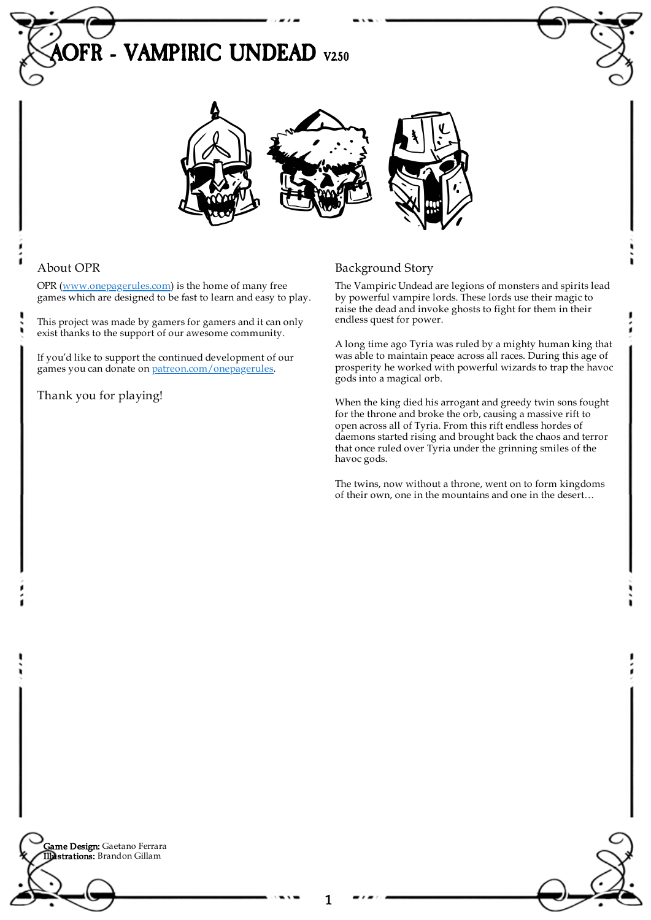# **PFR - VAMPIRIC UNDEAD V250**



## About OPR

OPR [\(www.onepagerules.com](https://webapp.onepagerules.com/army-books/view/qABIfXYbYxmA75yL~6/https//www.onepagerules.com)) is the home of many free games which are designed to be fast to learn and easy to play.

This project was made by gamers for gamers and it can only exist thanks to the support of our awesome community.

If you'd like to support the continued development of our games you can donate on [patreon.com/onepagerules](https://www.patreon.com/onepagerules).

Thank you for playing!

## Background Story

The Vampiric Undead are legions of monsters and spirits lead by powerful vampire lords. These lords use their magic to raise the dead and invoke ghosts to fight for them in their endless quest for power.

A long time ago Tyria was ruled by a mighty human king that was able to maintain peace across all races. During this age of prosperity he worked with powerful wizards to trap the havoc gods into a magical orb.

When the king died his arrogant and greedy twin sons fought for the throne and broke the orb, causing a massive rift to open across all of Tyria. From this rift endless hordes of daemons started rising and brought back the chaos and terror that once ruled over Tyria under the grinning smiles of the havoc gods.

The twins, now without a throne, went on to form kingdoms of their own, one in the mountains and one in the desert…

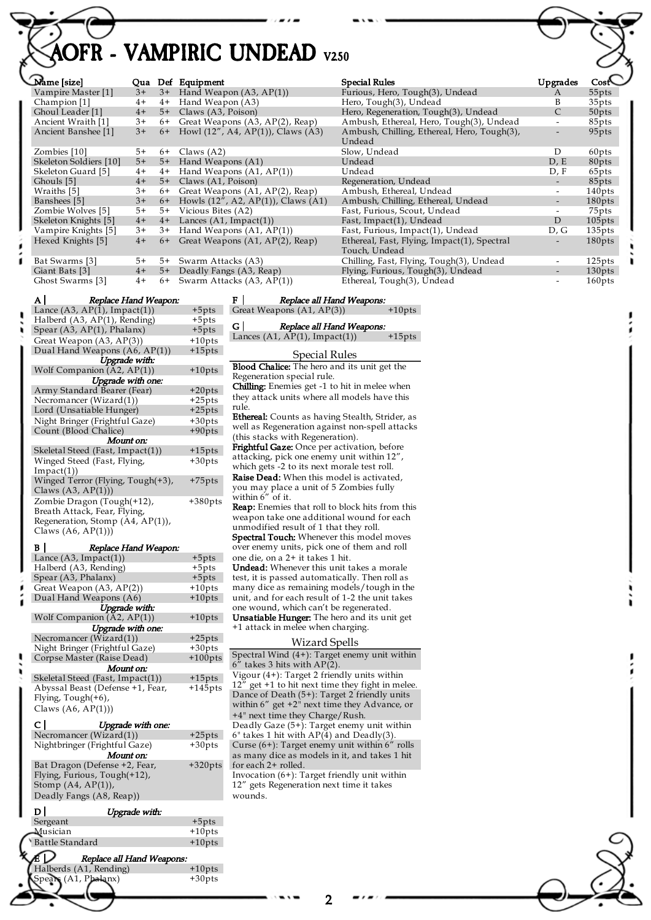## **PFR - VAMPIRIC UNDEAD V250**

| Name  size                           |      | Qua Def Equipment                               | Special Rules                                                |
|--------------------------------------|------|-------------------------------------------------|--------------------------------------------------------------|
| Vampire Master [1]                   | $3+$ | $3+$ Hand Weapon (A3, AP(1))                    | Furious, Hero, Tough(3), Undead                              |
| Champion [1]                         | $4+$ | 4+ Hand Weapon (A3)                             | Hero, Tough(3), Undead                                       |
| Ghoul Leader [1]                     | $4+$ | 5+ Claws (A3, Poison)                           | Hero, Regeneration, Tough(3), Undead                         |
| Ancient Wraith [1]                   | $3+$ | 6+ Great Weapons (A3, AP(2), Reap)              | Ambush, Ethereal, Hero, Tough(3), Undead                     |
| Ancient Banshee [1]                  | $3+$ | 6+ Howl $(12'', A4, AP(1))$ , Claws $(A3)$      | Ambush, Chilling, Ethereal, Hero, Tough(3),<br>Undead        |
| Zombies [10]                         | $5+$ | $6+$ Claws $(A2)$                               | Slow, Undead                                                 |
| Skeleton Soldiers [10]               | $5+$ | 5+ Hand Weapons (A1)                            | Undead                                                       |
| Skeleton Guard [5]                   | $4+$ | $4+$ Hand Weapons $(A1, AP(1))$                 | Undead                                                       |
| Ghouls [5]                           | $4+$ | 5+ Claws (A1, Poison)                           | Regeneration, Undead                                         |
| Wraiths [5]                          | $3+$ | 6+ Great Weapons (A1, AP(2), Reap)              | Ambush, Ethereal, Undead                                     |
| Banshees [5]                         | $3+$ | 6+ Howls $(12''$ , A2, AP $(1)$ ), Claws $(A1)$ | Ambush, Chilling, Ethereal, Undead                           |
| Zombie Wolves [5]                    | $5+$ | 5+ Vicious Bites (A2)                           | Fast, Furious, Scout, Undead                                 |
| Skeleton Knights [5]                 | $4+$ | $4+$ Lances (A1, Impact(1))                     | Fast, Impact(1), Undead                                      |
| Vampire Knights [5]                  | $3+$ | 3+ Hand Weapons (A1, AP(1))                     | Fast, Furious, Impact(1), Undead                             |
| Hexed Knights [5]                    | $4+$ | 6+ Great Weapons (A1, AP(2), Reap)              | Ethereal, Fast, Flying, Impact(1), Spectral<br>Touch, Undead |
| Bat Swarms [3]                       | 5+   | 5+ Swarm Attacks (A3)                           | Chilling, Fast, Flying, Tough(3), Undead                     |
| Giant Bats [3]                       | $4+$ | 5+ Deadly Fangs (A3, Reap)                      | Flying, Furious, Tough(3), Undead                            |
| Ghost Swarms [3]                     | $4+$ | 6+ Swarm Attacks (A3, AP(1))                    | Ethereal, Tough(3), Undead                                   |
| $\mathbf{A}$<br>Replace Hand Weapon: |      | ЕΙ<br>Replace all Hand Weapons:                 |                                                              |

| <i>Repaire France Treapons</i>      |           |
|-------------------------------------|-----------|
| Lance $(A3, AP(1), Impact(1))$      | $+5$ pts  |
| Halberd (A3, AP(1), Rending)        | +5pts     |
| Spear $(A3, AP(1)$ , Phalanx)       | $+5pts$   |
| Great Weapon (A3, AP(3))            | $+10$ pts |
| Dual Hand Weapons (A6, AP(1))       | $+15$ pts |
| Upgrade with:                       |           |
| Wolf Companion (A2, AP(1))          | $+10$ pts |
| Upgrade with one:                   |           |
| Army Standard Bearer (Fear)         | $+20$ pts |
| Necromancer (Wizard(1))             | $+25$ pts |
| Lord (Unsatiable Hunger)            | $+25pts$  |
| Night Bringer (Frightful Gaze)      | $+30pts$  |
| Count (Blood Chalice)               | $+90$ pts |
| Mount on:                           |           |
| Skeletal Steed (Fast, Impact(1))    | $+15$ pts |
| Winged Steed (Fast, Flying,         | +30pts    |
| $Im$ pact $(1)$                     |           |
| Winged Terror (Flying, Tough(+3),   | +75pts    |
| Claws $(A3, AP(1))$                 |           |
| Zombie Dragon (Tough(+12),          | +380pt    |
| Breath Attack, Fear, Flying,        |           |
| Regeneration, Stomp $(A4, AP(1))$ , |           |
| Claws $(A6, AP(1))$                 |           |
|                                     |           |

| B                     | Replace Hand Weapon:             |            |  |  |  |  |
|-----------------------|----------------------------------|------------|--|--|--|--|
|                       | Lance $(A3, Impact(1))$          | $+5pts$    |  |  |  |  |
|                       | Halberd (A3, Rending)            | $+5pts$    |  |  |  |  |
|                       | Spear (A3, Phalanx)              | $+5pts$    |  |  |  |  |
|                       | Great Weapon (A3, AP(2))         | $+10$ pts  |  |  |  |  |
|                       | Dual Hand Weapons (A6)           | $+10$ pts  |  |  |  |  |
|                       | Upgrade with:                    |            |  |  |  |  |
|                       | Wolf Companion $(A2, AP(1))$     | $+10$ pts  |  |  |  |  |
|                       | Upgrade with one:                |            |  |  |  |  |
|                       | Necromancer (Wizard(1))          | $+25pts$   |  |  |  |  |
|                       | Night Bringer (Frightful Gaze)   | $+30pts$   |  |  |  |  |
|                       | Corpse Master (Raise Dead)       | $+100$ pts |  |  |  |  |
|                       | Mount on:                        |            |  |  |  |  |
|                       | Skeletal Steed (Fast, Impact(1)) | $+15$ pts  |  |  |  |  |
|                       | Abyssal Beast (Defense +1, Fear, | $+145$ pts |  |  |  |  |
| Flying, $Tough(+6)$ , |                                  |            |  |  |  |  |
| Claws $(A6, AP(1))$   |                                  |            |  |  |  |  |
|                       | сI<br>Upgrade with one:          |            |  |  |  |  |
|                       | Necromancer (Wizard(1))          | $+25pts$   |  |  |  |  |
|                       | Nightbringer (Frightful Gaze)    | $+30$ pts  |  |  |  |  |
|                       | Mount on:                        |            |  |  |  |  |
|                       | Bat Dragon (Defense +2, Fear,    | $+320$ pts |  |  |  |  |
|                       | Flying, Furious, Tough(+12),     |            |  |  |  |  |
|                       | Stomp $(A4, AP(1)),$             |            |  |  |  |  |
|                       | Deadly Fangs (A8, Reap))         |            |  |  |  |  |
|                       |                                  |            |  |  |  |  |
|                       | ו ס<br>Upgrade with:             |            |  |  |  |  |
|                       | Sergeant                         | $+5pts$    |  |  |  |  |
|                       | Musician                         | $+10$ pts  |  |  |  |  |
|                       | <b>Battle Standard</b>           | $+10$ pts  |  |  |  |  |
|                       | ╭<br>Poplace all Hand Waap       |            |  |  |  |  |

|  | E P Replace all H<br>Halberds (A1, Rending)<br>Spears (A1, Phalanx)<br>Replace all Hand Weapons: |           |
|--|--------------------------------------------------------------------------------------------------|-----------|
|  |                                                                                                  | $+10$ pts |
|  |                                                                                                  | $+30$ pts |
|  |                                                                                                  |           |

|                        |      |      |                                             |                                                              |                          | —<br>—             |
|------------------------|------|------|---------------------------------------------|--------------------------------------------------------------|--------------------------|--------------------|
| Name [size]            |      |      | Qua Def Equipment                           | <b>Special Rules</b>                                         | Upgrades                 |                    |
| Vampire Master [1]     | $3+$ |      | $3+$ Hand Weapon (A3, AP(1))                | Furious, Hero, Tough(3), Undead                              | A                        | 55pts              |
| Champion [1]           | $4+$ | $4+$ | Hand Weapon (A3)                            | Hero, Tough(3), Undead                                       | B                        | 35pts              |
| Ghoul Leader [1]       | $4+$ | $5+$ | Claws (A3, Poison)                          | Hero, Regeneration, Tough(3), Undead                         | $\mathsf{C}$             | 50pts              |
| Ancient Wraith [1]     | $3+$ | 6+   | Great Weapons (A3, AP(2), Reap)             | Ambush, Ethereal, Hero, Tough(3), Undead                     |                          | 85pts              |
| Ancient Banshee [1]    | $3+$ | $6+$ | Howl $(12''$ , A4, AP $(1)$ ), Claws $(A3)$ | Ambush, Chilling, Ethereal, Hero, Tough(3),<br>Undead        | $\overline{\phantom{0}}$ | 95pts              |
| Zombies [10]           | 5+   | $6+$ | Claws $(A2)$                                | Slow, Undead                                                 | D                        | 60pts              |
| Skeleton Soldiers [10] | $5+$ | $5+$ | Hand Weapons (A1)                           | Undead                                                       | D, E                     | 80pts              |
| Skeleton Guard [5]     | $4+$ | $4+$ | Hand Weapons (A1, AP(1))                    | Undead                                                       | D, F                     | 65pts              |
| Ghouls [5]             | $4+$ | $5+$ | Claws (A1, Poison)                          | Regeneration, Undead                                         |                          | 85pts              |
| Wraiths [5]            | $3+$ | 6+   | Great Weapons (A1, AP(2), Reap)             | Ambush, Ethereal, Undead                                     |                          | 140 <sub>pts</sub> |
| Banshees [5]           | $3+$ | $6+$ | Howls $(12^{7}, A2, AP(1))$ , Claws $(A1)$  | Ambush, Chilling, Ethereal, Undead                           | $\overline{\phantom{a}}$ | $180$ pts          |
| Zombie Wolves [5]      | 5+   | $5+$ | Vicious Bites (A2)                          | Fast, Furious, Scout, Undead                                 |                          | 75pts              |
| Skeleton Knights [5]   | $4+$ | $4+$ | Lances $(A1, Impact(1))$                    | Fast, Impact(1), Undead                                      | D                        | $105$ pts          |
| Vampire Knights [5]    | $3+$ | $3+$ | Hand Weapons $(A1, AP(1))$                  | Fast, Furious, Impact(1), Undead                             | D, G                     | $135$ pts          |
| Hexed Knights [5]      | $4+$ | $6+$ | Great Weapons (A1, AP(2), Reap)             | Ethereal, Fast, Flying, Impact(1), Spectral<br>Touch, Undead |                          | 180pts             |
| Bat Swarms [3]         | 5+   | $5+$ | Swarm Attacks (A3)                          | Chilling, Fast, Flying, Tough(3), Undead                     |                          | 125pts             |
| Giant Bats [3]         | $4+$ | $5+$ | Deadly Fangs (A3, Reap)                     | Flying, Furious, Tough(3), Undead                            |                          | 130 <sub>pts</sub> |
| Ghost Swarms [3]       | $4+$ | $6+$ | Swarm Attacks (A3, AP(1))                   | Ethereal, Tough(3), Undead                                   |                          | $160$ pts          |

 $\mathsf{ls}$ Great Weapons  $(A1, AP(3))$  +10pts G | Replace all Hand Weapons: Lances  $(A1, AP(1), Impact(1))$  +15pts Special Rules Blood Chalice: The hero and its unit get the Regeneration special rule. Chilling: Enemies get -1 to hit in melee when they attack units where all models have this rule. Ethereal: Counts as having Stealth, Strider, as well as Regeneration against non-spell attacks (this stacks with Regeneration). Frightful Gaze: Once per activation, before attacking, pick one enemy unit within 12", which gets -2 to its next morale test roll. Raise Dead: When this model is activated, you may place a unit of 5 Zombies fully within 6" of it. Reap: Enemies that roll to block hits from this weapon take one additional wound for each unmodified result of 1 that they roll. Spectral Touch: Whenever this model moves over enemy units, pick one of them and roll one die, on a 2+ it takes 1 hit. Undead: Whenever this unit takes a morale test, it is passed automatically. Then roll as many dice as remaining models/tough in the unit, and for each result of 1-2 the unit takes one wound, which can't be regenerated. Unsatiable Hunger: The hero and its unit get +1 attack in melee when charging. Wizard Spells

F Replace all Hand Weapons:

| Spectral Wind $(4+)$ : Target enemy unit within<br>$6''$ takes 3 hits with $AP(2)$ .                                                     |
|------------------------------------------------------------------------------------------------------------------------------------------|
| Vigour $(4+)$ : Target 2 friendly units within<br>$12^7$ get +1 to hit next time they fight in melee.                                    |
| Dance of Death $(5+)$ : Target 2 friendly units<br>within $6''$ get $+2''$ next time they Advance, or<br>+4" next time they Charge/Rush. |
| Deadly Gaze (5+): Target enemy unit within<br>$6$ " takes 1 hit with AP(4) and Deadly(3).                                                |
| Curse $(6+)$ : Target enemy unit within $6''$ rolls<br>as many dice as models in it, and takes 1 hit<br>for each 2+ rolled.              |
| Invocation $(6+)$ : Target friendly unit within<br>12" gets Regeneration next time it takes<br>wounds.                                   |

2